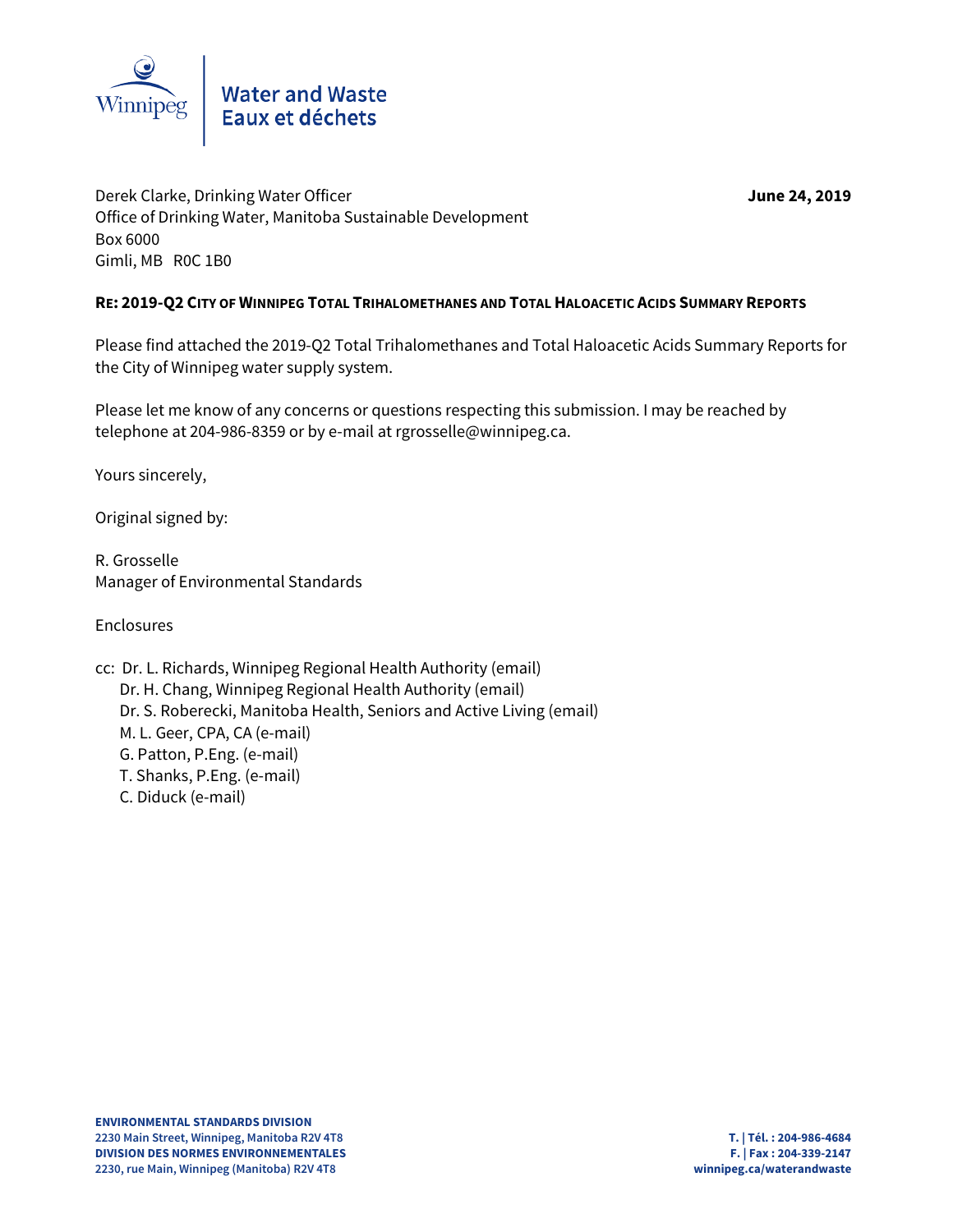

Derek Clarke, Drinking Water Officer **June 24, 2019** Office of Drinking Water, Manitoba Sustainable Development Box 6000 Gimli, MB R0C 1B0

### **RE: 2019-Q2 CITY OF WINNIPEG TOTAL TRIHALOMETHANES AND TOTAL HALOACETIC ACIDS SUMMARY REPORTS**

Please find attached the 2019-Q2 Total Trihalomethanes and Total Haloacetic Acids Summary Reports for the City of Winnipeg water supply system.

Please let me know of any concerns or questions respecting this submission. I may be reached by telephone at 204-986-8359 or by e-mail at rgrosselle@winnipeg.ca.

Yours sincerely,

Original signed by:

R. Grosselle Manager of Environmental Standards

Enclosures

cc: Dr. L. Richards, Winnipeg Regional Health Authority (email) Dr. H. Chang, Winnipeg Regional Health Authority (email) Dr. S. Roberecki, Manitoba Health, Seniors and Active Living (email) M. L. Geer, CPA, CA (e-mail) G. Patton, P.Eng. (e-mail) T. Shanks, P.Eng. (e-mail) C. Diduck (e-mail)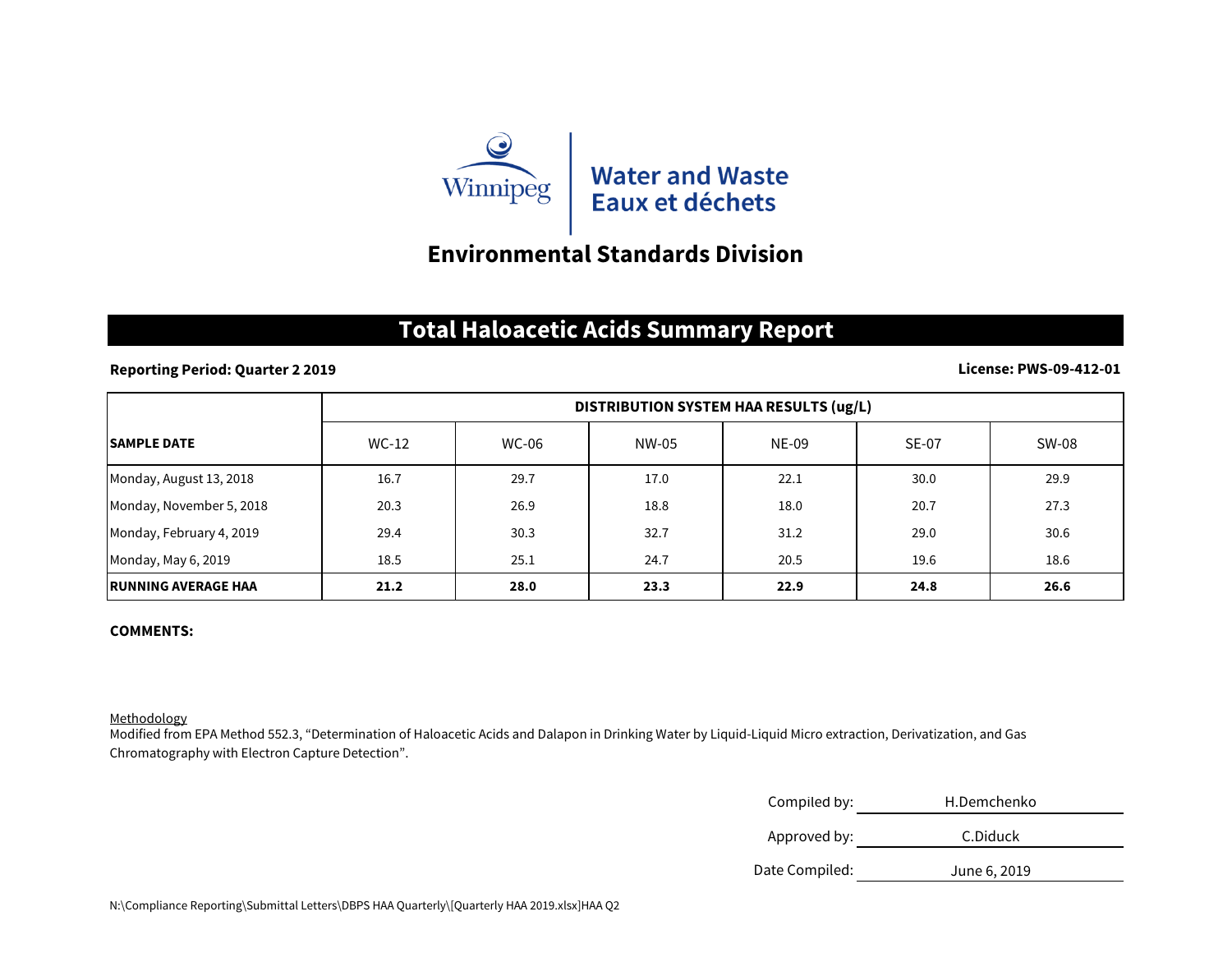

### **Environmental Standards Division**

## **Total Haloacetic Acids Summary Report**

### **Reporting Period: Quarter 2 2019**

### **License: PWS-09-412-01**

|                             | DISTRIBUTION SYSTEM HAA RESULTS (ug/L) |              |       |              |              |       |
|-----------------------------|----------------------------------------|--------------|-------|--------------|--------------|-------|
| <b>SAMPLE DATE</b>          | WC-12                                  | <b>WC-06</b> | NW-05 | <b>NE-09</b> | <b>SE-07</b> | SW-08 |
| Monday, August 13, 2018     | 16.7                                   | 29.7         | 17.0  | 22.1         | 30.0         | 29.9  |
| Monday, November 5, 2018    | 20.3                                   | 26.9         | 18.8  | 18.0         | 20.7         | 27.3  |
| Monday, February 4, 2019    | 29.4                                   | 30.3         | 32.7  | 31.2         | 29.0         | 30.6  |
| Monday, May 6, 2019         | 18.5                                   | 25.1         | 24.7  | 20.5         | 19.6         | 18.6  |
| <b>IRUNNING AVERAGE HAA</b> | 21.2                                   | 28.0         | 23.3  | 22.9         | 24.8         | 26.6  |

### **COMMENTS:**

#### Methodology

Modified from EPA Method 552.3, "Determination of Haloacetic Acids and Dalapon in Drinking Water by Liquid-Liquid Micro extraction, Derivatization, and Gas Chromatography with Electron Capture Detection".

| Compiled by:   | H.Demchenko  |
|----------------|--------------|
| Approved by:   | C.Diduck     |
| Date Compiled: | June 6, 2019 |